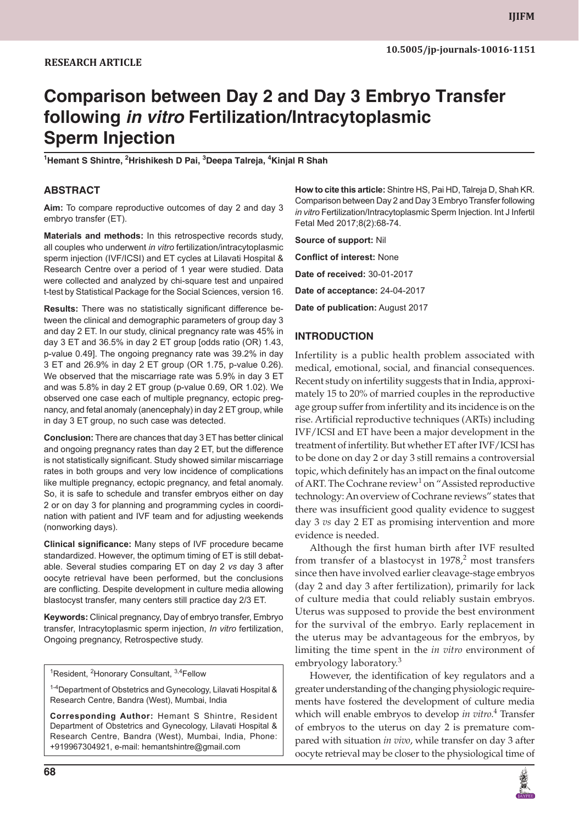# **Comparison between Day 2 and Day 3 Embryo Transfer following** *in vitro* **Fertilization/Intracytoplasmic Sperm Injection**

**1 Hemant S Shintre, 2 Hrishikesh D Pai, 3 Deepa Talreja, <sup>4</sup> Kinjal R Shah**

#### **ABSTRACT**

**Aim:** To compare reproductive outcomes of day 2 and day 3 embryo transfer (ET).

**Materials and methods:** In this retrospective records study, all couples who underwent *in vitro* fertilization/intracytoplasmic sperm injection (IVF/ICSI) and ET cycles at Lilavati Hospital & Research Centre over a period of 1 year were studied. Data were collected and analyzed by chi-square test and unpaired t-test by Statistical Package for the Social Sciences, version 16.

**Results:** There was no statistically significant difference between the clinical and demographic parameters of group day 3 and day 2 ET. In our study, clinical pregnancy rate was 45% in day 3 ET and 36.5% in day 2 ET group [odds ratio (OR) 1.43, p-value 0.49]. The ongoing pregnancy rate was 39.2% in day 3 ET and 26.9% in day 2 ET group (OR 1.75, p-value 0.26). We observed that the miscarriage rate was 5.9% in day 3 ET and was 5.8% in day 2 ET group (p-value 0.69, OR 1.02). We observed one case each of multiple pregnancy, ectopic pregnancy, and fetal anomaly (anencephaly) in day 2 ET group, while in day 3 ET group, no such case was detected.

**Conclusion:** There are chances that day 3 ET has better clinical and ongoing pregnancy rates than day 2 ET, but the difference is not statistically significant. Study showed similar miscarriage rates in both groups and very low incidence of complications like multiple pregnancy, ectopic pregnancy, and fetal anomaly. So, it is safe to schedule and transfer embryos either on day 2 or on day 3 for planning and programming cycles in coordination with patient and IVF team and for adjusting weekends (nonworking days).

**Clinical significance:** Many steps of IVF procedure became standardized. However, the optimum timing of ET is still debatable. Several studies comparing ET on day 2 *vs* day 3 after oocyte retrieval have been performed, but the conclusions are conflicting. Despite development in culture media allowing blastocyst transfer, many centers still practice day 2/3 ET.

**Keywords:** Clinical pregnancy, Day of embryo transfer, Embryo transfer, Intracytoplasmic sperm injection, *In vitro* fertilization, Ongoing pregnancy, Retrospective study.

<sup>1</sup>Resident, <sup>2</sup>Honorary Consultant, <sup>3,4</sup>Fellow

<sup>1-4</sup>Department of Obstetrics and Gynecology, Lilavati Hospital & Research Centre, Bandra (West), Mumbai, India

**Corresponding Author:** Hemant S Shintre, Resident Department of Obstetrics and Gynecology, Lilavati Hospital & Research Centre, Bandra (West), Mumbai, India, Phone: +919967304921, e-mail: hemantshintre@gmail.com

**How to cite this article:** Shintre HS, Pai HD, Talreja D, Shah KR. Comparison between Day 2 and Day 3 Embryo Transfer following *in vitro* Fertilization/Intracytoplasmic Sperm Injection. Int J Infertil Fetal Med 2017;8(2):68-74.

**Source of support:** Nil

**Conflict of interest:** None

**Date of received:** 30-01-2017

**Date of acceptance:** 24-04-2017

**Date of publication:** August 2017

#### **INTRODUCTION**

Infertility is a public health problem associated with medical, emotional, social, and financial consequences. Recent study on infertility suggests that in India, approximately 15 to 20% of married couples in the reproductive age group suffer from infertility and its incidence is on the rise. Artificial reproductive techniques (ARTs) including IVF/ICSI and ET have been a major development in the treatment of infertility. But whether ET after IVF/ICSI has to be done on day 2 or day 3 still remains a controversial topic, which definitely has an impact on the final outcome of ART. The Cochrane review<sup>1</sup> on "Assisted reproductive technology: An overview of Cochrane reviews" states that there was insufficient good quality evidence to suggest day 3 *vs* day 2 ET as promising intervention and more evidence is needed.

Although the first human birth after IVF resulted from transfer of a blastocyst in  $1978$ ,<sup>2</sup> most transfers since then have involved earlier cleavage-stage embryos (day 2 and day 3 after fertilization), primarily for lack of culture media that could reliably sustain embryos. Uterus was supposed to provide the best environment for the survival of the embryo. Early replacement in the uterus may be advantageous for the embryos, by limiting the time spent in the *in vitro* environment of embryology laboratory.<sup>3</sup>

However, the identification of key regulators and a greater understanding of the changing physiologic requirements have fostered the development of culture media which will enable embryos to develop *in vitro*. 4 Transfer of embryos to the uterus on day 2 is premature compared with situation *in vivo*, while transfer on day 3 after oocyte retrieval may be closer to the physiological time of

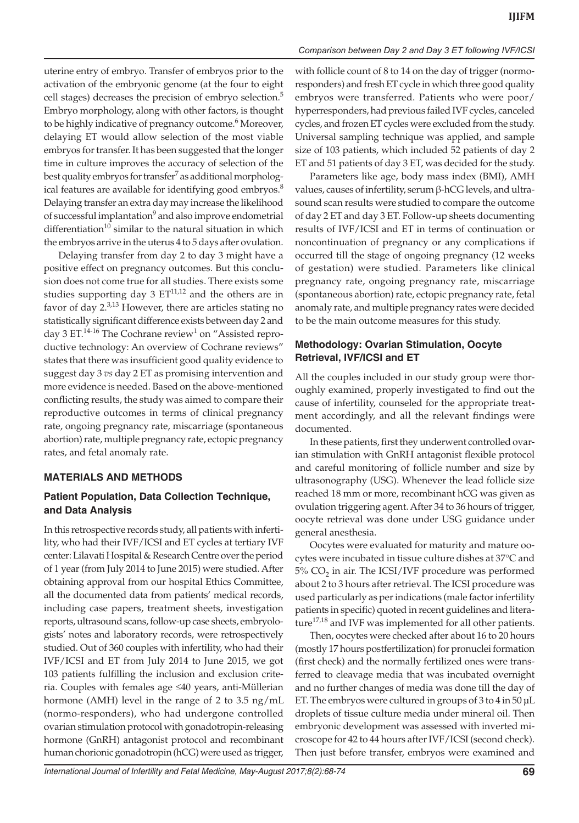uterine entry of embryo. Transfer of embryos prior to the activation of the embryonic genome (at the four to eight cell stages) decreases the precision of embryo selection.<sup>5</sup> Embryo morphology, along with other factors, is thought to be highly indicative of pregnancy outcome.<sup>6</sup> Moreover, delaying ET would allow selection of the most viable embryos for transfer. It has been suggested that the longer time in culture improves the accuracy of selection of the best quality embryos for transfer<sup>7</sup> as additional morphological features are available for identifying good embryos.<sup>8</sup> Delaying transfer an extra day may increase the likelihood of successful implantation<sup>9</sup> and also improve endometrial differentiation<sup>10</sup> similar to the natural situation in which the embryos arrive in the uterus 4 to 5 days after ovulation.

Delaying transfer from day 2 to day 3 might have a positive effect on pregnancy outcomes. But this conclusion does not come true for all studies. There exists some studies supporting day 3  $ET^{11,12}$  and the others are in favor of day  $2^{3,13}$  However, there are articles stating no statistically significant difference exists between day 2 and day 3 ET.<sup>14-16</sup> The Cochrane review<sup>1</sup> on "Assisted reproductive technology: An overview of Cochrane reviews" states that there was insufficient good quality evidence to suggest day 3 *vs* day 2 ET as promising intervention and more evidence is needed. Based on the above-mentioned conflicting results, the study was aimed to compare their reproductive outcomes in terms of clinical pregnancy rate, ongoing pregnancy rate, miscarriage (spontaneous abortion) rate, multiple pregnancy rate, ectopic pregnancy rates, and fetal anomaly rate.

## **MATERIALS AND METHODS**

## **Patient Population, Data Collection Technique, and Data Analysis**

In this retrospective records study, all patients with infertility, who had their IVF/ICSI and ET cycles at tertiary IVF center: Lilavati Hospital & Research Centre over the period of 1 year (from July 2014 to June 2015) were studied. After obtaining approval from our hospital Ethics Committee, all the documented data from patients' medical records, including case papers, treatment sheets, investigation reports, ultrasound scans, follow-up case sheets, embryologists' notes and laboratory records, were retrospectively studied. Out of 360 couples with infertility, who had their IVF/ICSI and ET from July 2014 to June 2015, we got 103 patients fulfilling the inclusion and exclusion criteria. Couples with females age ≤40 years, anti-Müllerian hormone (AMH) level in the range of 2 to 3.5 ng/mL (normo-responders), who had undergone controlled ovarian stimulation protocol with gonadotropin-releasing hormone (GnRH) antagonist protocol and recombinant human chorionic gonadotropin (hCG) were used as trigger,

#### *Comparison between Day 2 and Day 3 ET following IVF/ICSI*

with follicle count of 8 to 14 on the day of trigger (normoresponders) and fresh ET cycle in which three good quality embryos were transferred. Patients who were poor/ hyperresponders, had previous failed IVF cycles, canceled cycles, and frozen ET cycles were excluded from the study. Universal sampling technique was applied, and sample size of 103 patients, which included 52 patients of day 2 ET and 51 patients of day 3 ET, was decided for the study.

Parameters like age, body mass index (BMI), AMH values, causes of infertility, serum β-hCG levels, and ultrasound scan results were studied to compare the outcome of day 2 ET and day 3 ET. Follow-up sheets documenting results of IVF/ICSI and ET in terms of continuation or noncontinuation of pregnancy or any complications if occurred till the stage of ongoing pregnancy (12 weeks of gestation) were studied. Parameters like clinical pregnancy rate, ongoing pregnancy rate, miscarriage (spontaneous abortion) rate, ectopic pregnancy rate, fetal anomaly rate, and multiple pregnancy rates were decided to be the main outcome measures for this study.

## **Methodology: Ovarian Stimulation, Oocyte Retrieval, IVF/ICSI and ET**

All the couples included in our study group were thoroughly examined, properly investigated to find out the cause of infertility, counseled for the appropriate treatment accordingly, and all the relevant findings were documented.

In these patients, first they underwent controlled ovarian stimulation with GnRH antagonist flexible protocol and careful monitoring of follicle number and size by ultrasonography (USG). Whenever the lead follicle size reached 18 mm or more, recombinant hCG was given as ovulation triggering agent. After 34 to 36 hours of trigger, oocyte retrieval was done under USG guidance under general anesthesia.

Oocytes were evaluated for maturity and mature oocytes were incubated in tissue culture dishes at 37°C and  $5\%$  CO<sub>2</sub> in air. The ICSI/IVF procedure was performed about 2 to 3 hours after retrieval. The ICSI procedure was used particularly as per indications (male factor infertility patients in specific) quoted in recent guidelines and literature<sup>17,18</sup> and IVF was implemented for all other patients.

Then, oocytes were checked after about 16 to 20 hours (mostly 17 hours postfertilization) for pronuclei formation (first check) and the normally fertilized ones were transferred to cleavage media that was incubated overnight and no further changes of media was done till the day of ET. The embryos were cultured in groups of 3 to 4 in 50 µL droplets of tissue culture media under mineral oil. Then embryonic development was assessed with inverted microscope for 42 to 44 hours after IVF/ICSI (second check). Then just before transfer, embryos were examined and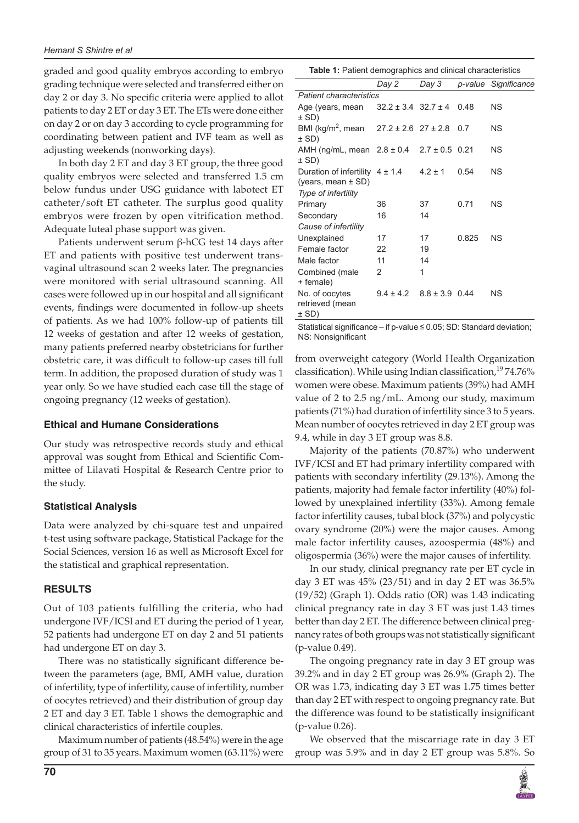graded and good quality embryos according to embryo grading technique were selected and transferred either on day 2 or day 3. No specific criteria were applied to allot patients to day 2 ET or day 3 ET. The ETs were done either on day 2 or on day 3 according to cycle programming for coordinating between patient and IVF team as well as adjusting weekends (nonworking days).

In both day 2 ET and day 3 ET group, the three good quality embryos were selected and transferred 1.5 cm below fundus under USG guidance with labotect ET catheter/soft ET catheter. The surplus good quality embryos were frozen by open vitrification method. Adequate luteal phase support was given.

Patients underwent serum β-hCG test 14 days after ET and patients with positive test underwent transvaginal ultrasound scan 2 weeks later. The pregnancies were monitored with serial ultrasound scanning. All cases were followed up in our hospital and all significant events, findings were documented in follow-up sheets of patients. As we had 100% follow-up of patients till 12 weeks of gestation and after 12 weeks of gestation, many patients preferred nearby obstetricians for further obstetric care, it was difficult to follow-up cases till full term. In addition, the proposed duration of study was 1 year only. So we have studied each case till the stage of ongoing pregnancy (12 weeks of gestation).

#### **Ethical and Humane Considerations**

Our study was retrospective records study and ethical approval was sought from Ethical and Scientific Committee of Lilavati Hospital & Research Centre prior to the study.

#### **Statistical Analysis**

Data were analyzed by chi-square test and unpaired t-test using software package, Statistical Package for the Social Sciences, version 16 as well as Microsoft Excel for the statistical and graphical representation.

## **RESULTS**

Out of 103 patients fulfilling the criteria, who had undergone IVF/ICSI and ET during the period of 1 year, 52 patients had undergone ET on day 2 and 51 patients had undergone ET on day 3.

There was no statistically significant difference between the parameters (age, BMI, AMH value, duration of infertility, type of infertility, cause of infertility, number of oocytes retrieved) and their distribution of group day 2 ET and day 3 ET. Table 1 shows the demographic and clinical characteristics of infertile couples.

Maximum number of patients (48.54%) were in the age group of 31 to 35 years. Maximum women (63.11%) were

| <b>Table 1:</b> Patient demographics and clinical characteristics |  |
|-------------------------------------------------------------------|--|
|-------------------------------------------------------------------|--|

| <b>Rable 1.</b> Tallent demographics and chincal characteristics                     |                             |                    |       |                      |  |
|--------------------------------------------------------------------------------------|-----------------------------|--------------------|-------|----------------------|--|
|                                                                                      | Day 2                       | Day 3              |       | p-value Significance |  |
| <b>Patient characteristics</b>                                                       |                             |                    |       |                      |  |
| Age (years, mean<br>$±$ SD)                                                          | $32.2 \pm 3.4$ 32.7 $\pm 4$ |                    | 0.48  | ΝS                   |  |
| BMI (kg/m <sup>2</sup> , mean $27.2 \pm 2.6$ 27 $\pm 2.8$<br>$±$ SD)                 |                             |                    | 0.7   | NS.                  |  |
| AMH (ng/mL, mean $2.8 \pm 0.4$<br>± SD)                                              |                             | $2.7 \pm 0.5$ 0.21 |       | <b>NS</b>            |  |
| Duration of infertility $4 \pm 1.4$<br>(years, mean $\pm$ SD)<br>Type of infertility |                             | $4.2 + 1$          | 0.54  | NS.                  |  |
| Primary                                                                              | 36                          | 37                 | 0.71  | ΝS                   |  |
| Secondary                                                                            | 16                          | 14                 |       |                      |  |
| Cause of infertility                                                                 |                             |                    |       |                      |  |
| Unexplained                                                                          | 17                          | 17                 | 0.825 | ΝS                   |  |
| Female factor                                                                        | 22                          | 19                 |       |                      |  |
| Male factor                                                                          | 11                          | 14                 |       |                      |  |
| Combined (male<br>+ female)                                                          | $\mathcal{P}$               | 1                  |       |                      |  |
| No. of oocytes<br>retrieved (mean<br>± SD)                                           | $9.4 \pm 4.2$               | $8.8 \pm 3.9$ 0.44 |       | <b>NS</b>            |  |

Statistical significance – if p-value ≤ 0.05; SD: Standard deviation; NS: Nonsignificant

from overweight category (World Health Organization classification). While using Indian classification,<sup>19</sup>74.76% women were obese. Maximum patients (39%) had AMH value of 2 to 2.5 ng/mL. Among our study, maximum patients (71%) had duration of infertility since 3 to 5 years. Mean number of oocytes retrieved in day 2 ET group was 9.4, while in day 3 ET group was 8.8.

Majority of the patients (70.87%) who underwent IVF/ICSI and ET had primary infertility compared with patients with secondary infertility (29.13%). Among the patients, majority had female factor infertility (40%) followed by unexplained infertility (33%). Among female factor infertility causes, tubal block (37%) and polycystic ovary syndrome (20%) were the major causes. Among male factor infertility causes, azoospermia (48%) and oligospermia (36%) were the major causes of infertility.

In our study, clinical pregnancy rate per ET cycle in day 3 ET was 45% (23/51) and in day 2 ET was 36.5% (19/52) (Graph 1). Odds ratio (OR) was 1.43 indicating clinical pregnancy rate in day 3 ET was just 1.43 times better than day 2 ET. The difference between clinical pregnancy rates of both groups was not statistically significant (p-value 0.49).

The ongoing pregnancy rate in day 3 ET group was 39.2% and in day 2 ET group was 26.9% (Graph 2). The OR was 1.73, indicating day 3 ET was 1.75 times better than day 2 ET with respect to ongoing pregnancy rate. But the difference was found to be statistically insignificant (p-value 0.26).

We observed that the miscarriage rate in day 3 ET group was 5.9% and in day 2 ET group was 5.8%. So

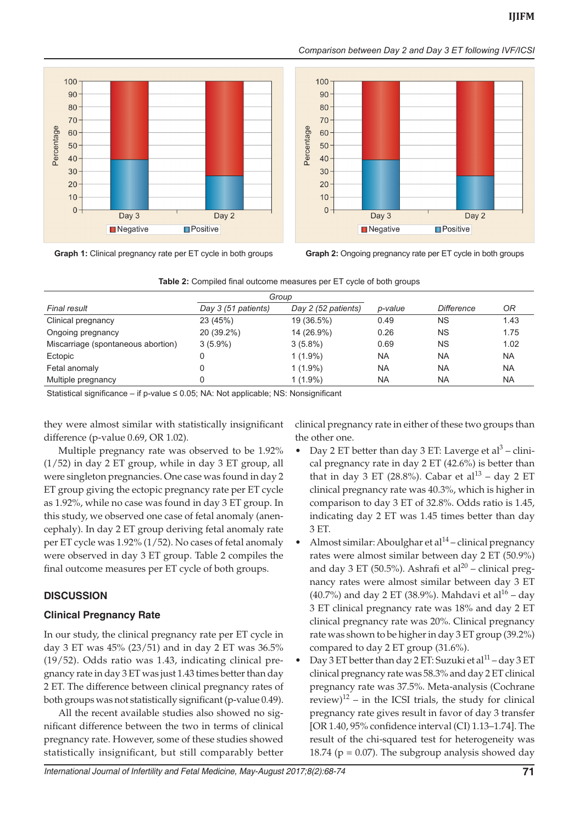*Comparison between Day 2 and Day 3 ET following IVF/ICSI*





**Graph 1:** Clinical pregnancy rate per ET cycle in both groups **Graph 2:** Ongoing pregnancy rate per ET cycle in both groups

| Final result                       | Day 3 (51 patients) | Day 2 (52 patients) | p-value   | <b>Difference</b> | 0R        |
|------------------------------------|---------------------|---------------------|-----------|-------------------|-----------|
| Clinical pregnancy                 | 23 (45%)            | 19 (36.5%)          | 0.49      | <b>NS</b>         | 1.43      |
| Ongoing pregnancy                  | 20 (39.2%)          | 14 (26.9%)          | 0.26      | <b>NS</b>         | 1.75      |
| Miscarriage (spontaneous abortion) | $3(5.9\%)$          | $3(5.8\%)$          | 0.69      | <b>NS</b>         | 1.02      |
| Ectopic                            |                     | $1(1.9\%)$          | <b>NA</b> | <b>NA</b>         | <b>NA</b> |
| Fetal anomaly                      |                     | $1(1.9\%)$          | <b>NA</b> | <b>NA</b>         | <b>NA</b> |
| Multiple pregnancy                 |                     | $1(1.9\%)$          | <b>NA</b> | <b>NA</b>         | <b>NA</b> |

|  |  | Table 2: Compiled final outcome measures per ET cycle of both groups |  |  |
|--|--|----------------------------------------------------------------------|--|--|
|  |  |                                                                      |  |  |

Statistical significance – if p-value ≤ 0.05; NA: Not applicable; NS: Nonsignificant

they were almost similar with statistically insignificant difference (p-value 0.69, OR 1.02).

Multiple pregnancy rate was observed to be 1.92% (1/52) in day 2 ET group, while in day 3 ET group, all were singleton pregnancies. One case was found in day 2 ET group giving the ectopic pregnancy rate per ET cycle as 1.92%, while no case was found in day 3 ET group. In this study, we observed one case of fetal anomaly (anencephaly). In day 2 ET group deriving fetal anomaly rate per ET cycle was 1.92% (1/52). No cases of fetal anomaly were observed in day 3 ET group. Table 2 compiles the final outcome measures per ET cycle of both groups.

# **DISCUSSION**

## **Clinical Pregnancy Rate**

In our study, the clinical pregnancy rate per ET cycle in day 3 ET was 45% (23/51) and in day 2 ET was 36.5% (19/52). Odds ratio was 1.43, indicating clinical pregnancy rate in day 3 ET was just 1.43 times better than day 2 ET. The difference between clinical pregnancy rates of both groups was not statistically significant (p-value 0.49).

All the recent available studies also showed no significant difference between the two in terms of clinical pregnancy rate. However, some of these studies showed statistically insignificant, but still comparably better clinical pregnancy rate in either of these two groups than the other one.

- Day 2 ET better than day 3 ET: Laverge et al<sup>3</sup> clinical pregnancy rate in day 2 ET (42.6%) is better than that in day 3 ET (28.8%). Cabar et al<sup>13</sup> – day 2 ET clinical pregnancy rate was 40.3%, which is higher in comparison to day 3 ET of 32.8%. Odds ratio is 1.45, indicating day 2 ET was 1.45 times better than day 3 ET.
- Almost similar: Aboulghar et al $^{14}$  clinical pregnancy rates were almost similar between day 2 ET (50.9%) and day 3 ET (50.5%). Ashrafi et al<sup>20</sup> – clinical pregnancy rates were almost similar between day 3 ET  $(40.7\%)$  and day 2 ET (38.9%). Mahdavi et al<sup>16</sup> – day 3 ET clinical pregnancy rate was 18% and day 2 ET clinical pregnancy rate was 20%. Clinical pregnancy rate was shown to be higher in day 3 ET group (39.2%) compared to day 2 ET group (31.6%).
- Day 3 ET better than day 2 ET: Suzuki et al<sup>11</sup> day 3 ET clinical pregnancy rate was 58.3% and day 2 ET clinical pregnancy rate was 37.5%. Meta-analysis (Cochrane review)<sup>12</sup> – in the ICSI trials, the study for clinical pregnancy rate gives result in favor of day 3 transfer [OR 1.40, 95% confidence interval (CI) 1.13–1.74]. The result of the chi-squared test for heterogeneity was 18.74 ( $p = 0.07$ ). The subgroup analysis showed day

*International Journal of Infertility and Fetal Medicine, May-August 2017;8(2):68-74* **71**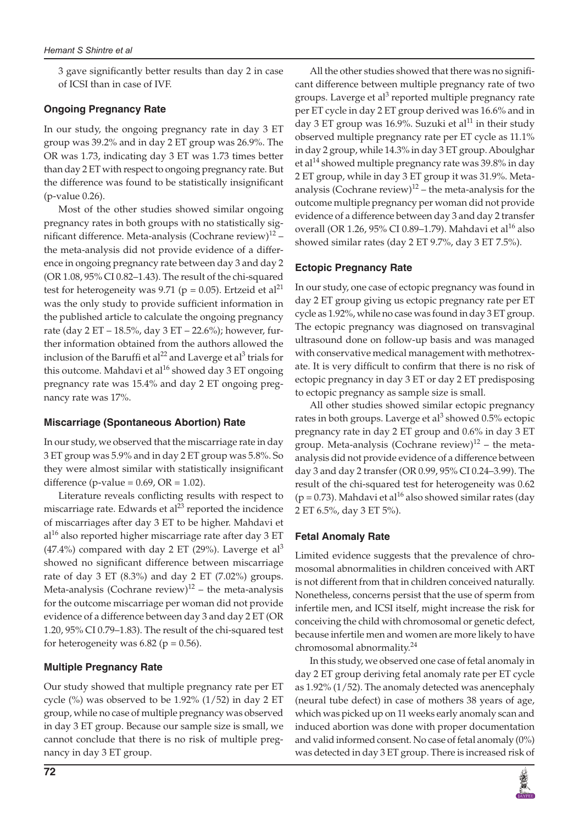3 gave significantly better results than day 2 in case of ICSI than in case of IVF.

## **Ongoing Pregnancy Rate**

In our study, the ongoing pregnancy rate in day 3 ET group was 39.2% and in day 2 ET group was 26.9%. The OR was 1.73, indicating day 3 ET was 1.73 times better than day 2 ET with respect to ongoing pregnancy rate. But the difference was found to be statistically insignificant (p-value 0.26).

Most of the other studies showed similar ongoing pregnancy rates in both groups with no statistically significant difference. Meta-analysis (Cochrane review) $12$  – the meta-analysis did not provide evidence of a difference in ongoing pregnancy rate between day 3 and day 2 (OR 1.08, 95% CI 0.82–1.43). The result of the chi-squared test for heterogeneity was 9.71 ( $p = 0.05$ ). Ertzeid et al<sup>21</sup> was the only study to provide sufficient information in the published article to calculate the ongoing pregnancy rate (day 2 ET – 18.5%, day 3 ET – 22.6%); however, further information obtained from the authors allowed the inclusion of the Baruffi et al<sup>22</sup> and Laverge et al<sup>3</sup> trials for this outcome. Mahdavi et al $^{16}$  showed day 3 ET ongoing pregnancy rate was 15.4% and day 2 ET ongoing pregnancy rate was 17%.

## **Miscarriage (Spontaneous Abortion) Rate**

In our study, we observed that the miscarriage rate in day 3 ET group was 5.9% and in day 2 ET group was 5.8%. So they were almost similar with statistically insignificant difference (p-value =  $0.69$ , OR =  $1.02$ ).

Literature reveals conflicting results with respect to miscarriage rate. Edwards et  $al^{23}$  reported the incidence of miscarriages after day 3 ET to be higher. Mahdavi et  $al<sup>16</sup>$  also reported higher miscarriage rate after day 3 ET  $(47.4%)$  compared with day 2 ET (29%). Laverge et al<sup>3</sup> showed no significant difference between miscarriage rate of day 3 ET (8.3%) and day 2 ET (7.02%) groups. Meta-analysis (Cochrane review) $12$  – the meta-analysis for the outcome miscarriage per woman did not provide evidence of a difference between day 3 and day 2 ET (OR 1.20, 95% CI 0.79–1.83). The result of the chi-squared test for heterogeneity was  $6.82$  ( $p = 0.56$ ).

# **Multiple Pregnancy Rate**

Our study showed that multiple pregnancy rate per ET cycle  $(\%)$  was observed to be 1.92%  $(1/52)$  in day 2 ET group, while no case of multiple pregnancy was observed in day 3 ET group. Because our sample size is small, we cannot conclude that there is no risk of multiple pregnancy in day 3 ET group.

All the other studies showed that there was no significant difference between multiple pregnancy rate of two groups. Laverge et al<sup>3</sup> reported multiple pregnancy rate per ET cycle in day 2 ET group derived was 16.6% and in day 3 ET group was 16.9%. Suzuki et al<sup>11</sup> in their study observed multiple pregnancy rate per ET cycle as 11.1% in day 2 group, while 14.3% in day 3 ET group. Aboulghar et al<sup>14</sup> showed multiple pregnancy rate was  $39.8\%$  in day 2 ET group, while in day 3 ET group it was 31.9%. Metaanalysis (Cochrane review)<sup>12</sup> – the meta-analysis for the outcome multiple pregnancy per woman did not provide evidence of a difference between day 3 and day 2 transfer overall (OR 1.26, 95% CI 0.89–1.79). Mahdavi et al<sup>16</sup> also showed similar rates (day 2 ET 9.7%, day 3 ET 7.5%).

# **Ectopic Pregnancy Rate**

In our study, one case of ectopic pregnancy was found in day 2 ET group giving us ectopic pregnancy rate per ET cycle as 1.92%, while no case was found in day 3 ET group. The ectopic pregnancy was diagnosed on transvaginal ultrasound done on follow-up basis and was managed with conservative medical management with methotrexate. It is very difficult to confirm that there is no risk of ectopic pregnancy in day 3 ET or day 2 ET predisposing to ectopic pregnancy as sample size is small.

All other studies showed similar ectopic pregnancy rates in both groups. Laverge et al<sup>3</sup> showed 0.5% ectopic pregnancy rate in day 2 ET group and 0.6% in day 3 ET group. Meta-analysis (Cochrane review) $12$  – the metaanalysis did not provide evidence of a difference between day 3 and day 2 transfer (OR 0.99, 95% CI 0.24–3.99). The result of the chi-squared test for heterogeneity was 0.62 ( $p = 0.73$ ). Mahdavi et al<sup>16</sup> also showed similar rates (day 2 ET 6.5%, day 3 ET 5%).

# **Fetal Anomaly Rate**

Limited evidence suggests that the prevalence of chromosomal abnormalities in children conceived with ART is not different from that in children conceived naturally. Nonetheless, concerns persist that the use of sperm from infertile men, and ICSI itself, might increase the risk for conceiving the child with chromosomal or genetic defect, because infertile men and women are more likely to have chromosomal abnormality.<sup>24</sup>

In this study, we observed one case of fetal anomaly in day 2 ET group deriving fetal anomaly rate per ET cycle as 1.92% (1/52). The anomaly detected was anencephaly (neural tube defect) in case of mothers 38 years of age, which was picked up on 11 weeks early anomaly scan and induced abortion was done with proper documentation and valid informed consent. No case of fetal anomaly (0%) was detected in day 3 ET group. There is increased risk of

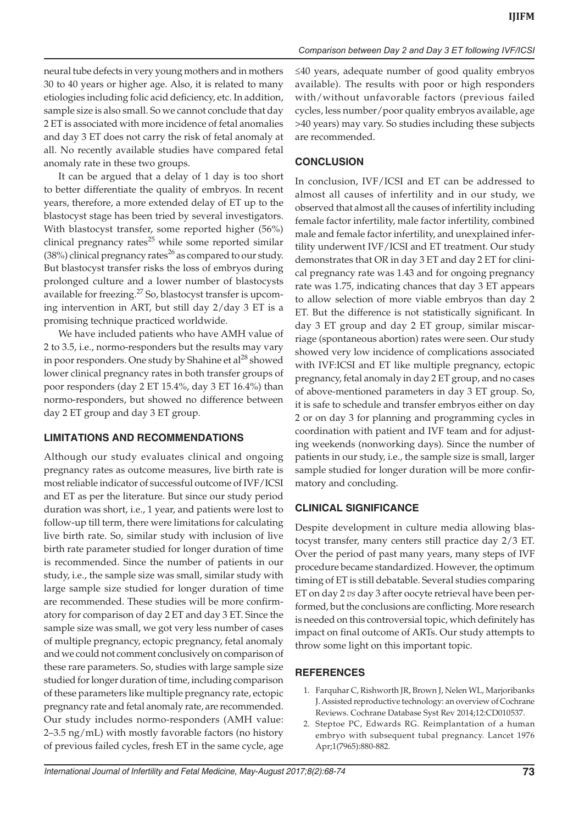neural tube defects in very young mothers and in mothers 30 to 40 years or higher age. Also, it is related to many etiologies including folic acid deficiency, etc. In addition, sample size is also small. So we cannot conclude that day 2 ET is associated with more incidence of fetal anomalies and day 3 ET does not carry the risk of fetal anomaly at all. No recently available studies have compared fetal anomaly rate in these two groups.

It can be argued that a delay of 1 day is too short to better differentiate the quality of embryos. In recent years, therefore, a more extended delay of ET up to the blastocyst stage has been tried by several investigators. With blastocyst transfer, some reported higher (56%) clinical pregnancy rates $25$  while some reported similar (38%) clinical pregnancy rates<sup>26</sup> as compared to our study. But blastocyst transfer risks the loss of embryos during prolonged culture and a lower number of blastocysts available for freezing.27 So, blastocyst transfer is upcoming intervention in ART, but still day 2/day 3 ET is a promising technique practiced worldwide.

We have included patients who have AMH value of 2 to 3.5, i.e., normo-responders but the results may vary in poor responders. One study by Shahine et al<sup>28</sup> showed lower clinical pregnancy rates in both transfer groups of poor responders (day 2 ET 15.4%, day 3 ET 16.4%) than normo-responders, but showed no difference between day 2 ET group and day 3 ET group.

## **LIMITATIONS AND RECOMMENDATIONS**

Although our study evaluates clinical and ongoing pregnancy rates as outcome measures, live birth rate is most reliable indicator of successful outcome of IVF/ICSI and ET as per the literature. But since our study period duration was short, i.e., 1 year, and patients were lost to follow-up till term, there were limitations for calculating live birth rate. So, similar study with inclusion of live birth rate parameter studied for longer duration of time is recommended. Since the number of patients in our study, i.e., the sample size was small, similar study with large sample size studied for longer duration of time are recommended. These studies will be more confirmatory for comparison of day 2 ET and day 3 ET. Since the sample size was small, we got very less number of cases of multiple pregnancy, ectopic pregnancy, fetal anomaly and we could not comment conclusively on comparison of these rare parameters. So, studies with large sample size studied for longer duration of time, including comparison of these parameters like multiple pregnancy rate, ectopic pregnancy rate and fetal anomaly rate, are recommended. Our study includes normo-responders (AMH value: 2–3.5 ng/mL) with mostly favorable factors (no history of previous failed cycles, fresh ET in the same cycle, age

≤40 years, adequate number of good quality embryos available). The results with poor or high responders with/without unfavorable factors (previous failed cycles, less number/poor quality embryos available, age >40 years) may vary. So studies including these subjects are recommended.

## **CONCLUSION**

In conclusion, IVF/ICSI and ET can be addressed to almost all causes of infertility and in our study, we observed that almost all the causes of infertility including female factor infertility, male factor infertility, combined male and female factor infertility, and unexplained infertility underwent IVF/ICSI and ET treatment. Our study demonstrates that OR in day 3 ET and day 2 ET for clinical pregnancy rate was 1.43 and for ongoing pregnancy rate was 1.75, indicating chances that day 3 ET appears to allow selection of more viable embryos than day 2 ET. But the difference is not statistically significant. In day 3 ET group and day 2 ET group, similar miscarriage (spontaneous abortion) rates were seen. Our study showed very low incidence of complications associated with IVF:ICSI and ET like multiple pregnancy, ectopic pregnancy, fetal anomaly in day 2 ET group, and no cases of above-mentioned parameters in day 3 ET group. So, it is safe to schedule and transfer embryos either on day 2 or on day 3 for planning and programming cycles in coordination with patient and IVF team and for adjusting weekends (nonworking days). Since the number of patients in our study, i.e., the sample size is small, larger sample studied for longer duration will be more confirmatory and concluding.

#### **CLINICAL SIGNIFICANCE**

Despite development in culture media allowing blastocyst transfer, many centers still practice day 2/3 ET. Over the period of past many years, many steps of IVF procedure became standardized. However, the optimum timing of ET is still debatable. Several studies comparing ET on day 2 *vs* day 3 after oocyte retrieval have been performed, but the conclusions are conflicting. More research is needed on this controversial topic, which definitely has impact on final outcome of ARTs. Our study attempts to throw some light on this important topic.

#### **REFERENCES**

- 1. Farquhar C, Rishworth JR, Brown J, Nelen WL, Marjoribanks J. Assisted reproductive technology: an overview of Cochrane Reviews. Cochrane Database Syst Rev 2014;12:CD010537.
- 2. Steptoe PC, Edwards RG. Reimplantation of a human embryo with subsequent tubal pregnancy. Lancet 1976 Apr;1(7965):880-882.